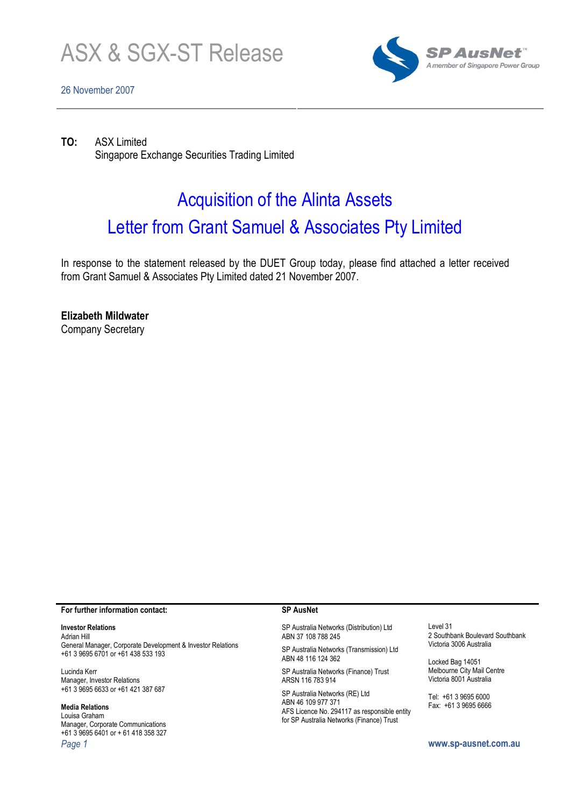

# 26 November 2007



TO: ASX Limited Singapore Exchange Securities Trading Limited

# Acquisition of the Alinta Assets Letter from Grant Samuel & Associates Pty Limited

In response to the statement released by the DUET Group today, please find attached a letter received from Grant Samuel & Associates Pty Limited dated 21 November 2007.

Elizabeth Mildwater

Company Secretary

#### For further information contact:

## Investor Relations

Adrian Hill General Manager, Corporate Development & Investor Relations +61 3 9695 6701 or +61 438 533 193

Lucinda Kerr Manager, Investor Relations +61 3 9695 6633 or +61 421 387 687

## Media Relations

Louisa Graham Manager, Corporate Communications +61 3 9695 6401 or + 61 418 358 327 Page 1 www.sp-ausnet.com.au

#### SP AusNet

SP Australia Networks (Distribution) Ltd ABN 37 108 788 245

SP Australia Networks (Transmission) Ltd ABN 48 116 124 362

SP Australia Networks (Finance) Trust ARSN 116 783 914

SP Australia Networks (RE) Ltd ABN 46 109 977 371 AFS Licence No. 294117 as responsible entity for SP Australia Networks (Finance) Trust

Level 31 2 Southbank Boulevard Southbank Victoria 3006 Australia

Locked Bag 14051 Melbourne City Mail Centre Victoria 8001 Australia

Tel: +61 3 9695 6000 Fax: +61 3 9695 6666